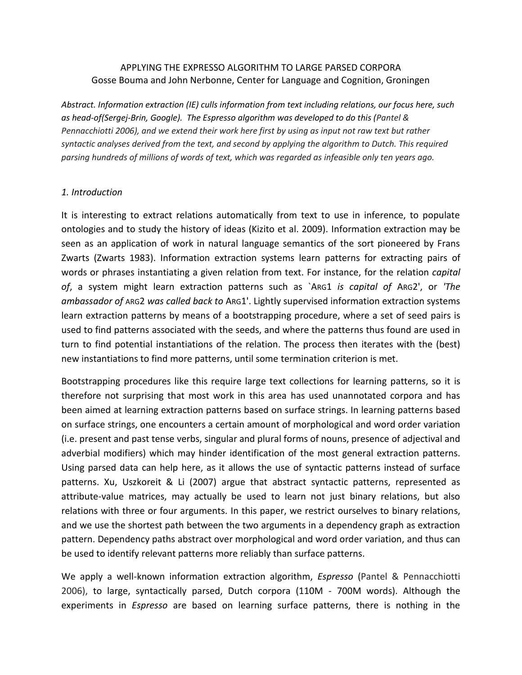## APPLYING THE EXPRESSO ALGORITHM TO LARGE PARSED CORPORA Gosse Bouma and John Nerbonne, Center for Language and Cognition, Groningen

*Abstract. Information extraction (IE) culls information from text including relations, our focus here, such as head-of(Sergej-Brin, Google). The Espresso algorithm was developed to do this (Pantel & Pennacchiotti 2006), and we extend their work here first by using as input not raw text but rather syntactic analyses derived from the text, and second by applying the algorithm to Dutch. This required parsing hundreds of millions of words of text, which was regarded as infeasible only ten years ago.*

#### *1. Introduction*

It is interesting to extract relations automatically from text to use in inference, to populate ontologies and to study the history of ideas (Kizito et al. 2009). Information extraction may be seen as an application of work in natural language semantics of the sort pioneered by Frans Zwarts (Zwarts 1983). Information extraction systems learn patterns for extracting pairs of words or phrases instantiating a given relation from text. For instance, for the relation *capital of*, a system might learn extraction patterns such as `ARG1 *is capital of* ARG2', or *'The ambassador of* ARG2 *was called back to* ARG1'. Lightly supervised information extraction systems learn extraction patterns by means of a bootstrapping procedure, where a set of seed pairs is used to find patterns associated with the seeds, and where the patterns thus found are used in turn to find potential instantiations of the relation. The process then iterates with the (best) new instantiations to find more patterns, until some termination criterion is met.

Bootstrapping procedures like this require large text collections for learning patterns, so it is therefore not surprising that most work in this area has used unannotated corpora and has been aimed at learning extraction patterns based on surface strings. In learning patterns based on surface strings, one encounters a certain amount of morphological and word order variation (i.e. present and past tense verbs, singular and plural forms of nouns, presence of adjectival and adverbial modifiers) which may hinder identification of the most general extraction patterns. Using parsed data can help here, as it allows the use of syntactic patterns instead of surface patterns. Xu, Uszkoreit & Li (2007) argue that abstract syntactic patterns, represented as attribute-value matrices, may actually be used to learn not just binary relations, but also relations with three or four arguments. In this paper, we restrict ourselves to binary relations, and we use the shortest path between the two arguments in a dependency graph as extraction pattern. Dependency paths abstract over morphological and word order variation, and thus can be used to identify relevant patterns more reliably than surface patterns.

We apply a well-known information extraction algorithm, *Espresso* (Pantel & Pennacchiotti 2006), to large, syntactically parsed, Dutch corpora (110M - 700M words). Although the experiments in *Espresso* are based on learning surface patterns, there is nothing in the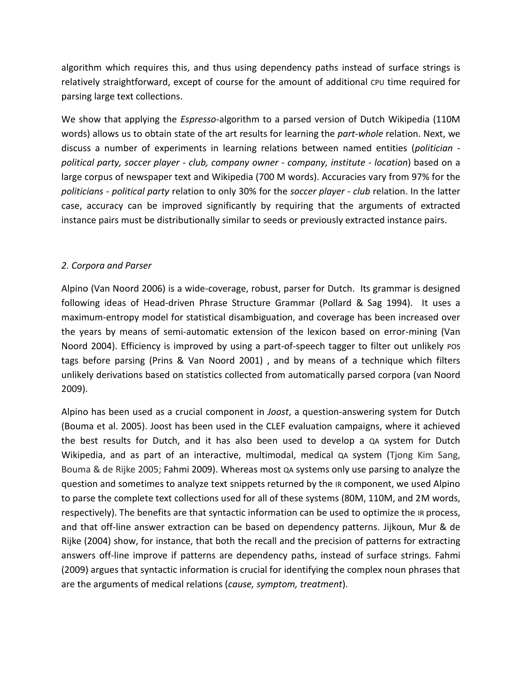algorithm which requires this, and thus using dependency paths instead of surface strings is relatively straightforward, except of course for the amount of additional cpu time required for parsing large text collections.

We show that applying the *Espresso*-algorithm to a parsed version of Dutch Wikipedia (110M words) allows us to obtain state of the art results for learning the *part-whole* relation. Next, we discuss a number of experiments in learning relations between named entities (*politician political party, soccer player - club, company owner - company, institute - location*) based on a large corpus of newspaper text and Wikipedia (700 M words). Accuracies vary from 97% for the *politicians - political party* relation to only 30% for the *soccer player - club* relation. In the latter case, accuracy can be improved significantly by requiring that the arguments of extracted instance pairs must be distributionally similar to seeds or previously extracted instance pairs.

# *2. Corpora and Parser*

Alpino (Van Noord 2006) is a wide-coverage, robust, parser for Dutch. Its grammar is designed following ideas of Head-driven Phrase Structure Grammar (Pollard & Sag 1994). It uses a maximum-entropy model for statistical disambiguation, and coverage has been increased over the years by means of semi-automatic extension of the lexicon based on error-mining (Van Noord 2004). Efficiency is improved by using a part-of-speech tagger to filter out unlikely POS tags before parsing (Prins & Van Noord 2001) , and by means of a technique which filters unlikely derivations based on statistics collected from automatically parsed corpora (van Noord 2009).

Alpino has been used as a crucial component in *Joost*, a question-answering system for Dutch (Bouma et al. 2005). Joost has been used in the CLEF evaluation campaigns, where it achieved the best results for Dutch, and it has also been used to develop a QA system for Dutch Wikipedia, and as part of an interactive, multimodal, medical QA system (Tiong Kim Sang, Bouma & de Rijke 2005; Fahmi 2009). Whereas most QA systems only use parsing to analyze the question and sometimes to analyze text snippets returned by the IR component, we used Alpino to parse the complete text collections used for all of these systems (80M, 110M, and 2M words, respectively). The benefits are that syntactic information can be used to optimize the IR process, and that off-line answer extraction can be based on dependency patterns. Jijkoun, Mur & de Rijke (2004) show, for instance, that both the recall and the precision of patterns for extracting answers off-line improve if patterns are dependency paths, instead of surface strings. Fahmi (2009) argues that syntactic information is crucial for identifying the complex noun phrases that are the arguments of medical relations (*cause, symptom, treatment*).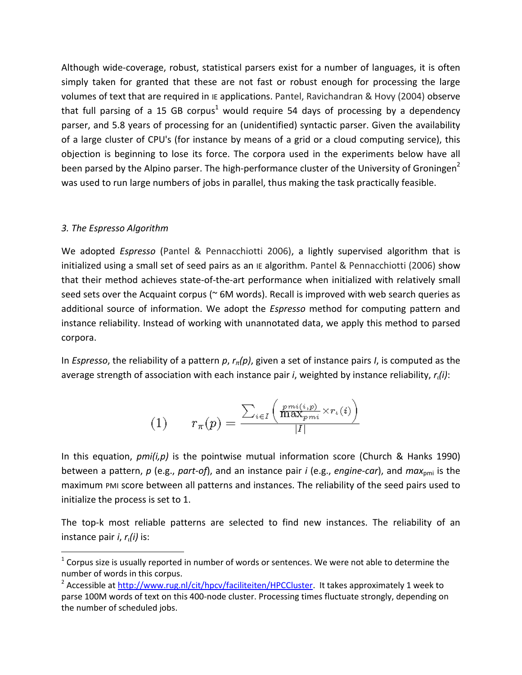Although wide-coverage, robust, statistical parsers exist for a number of languages, it is often simply taken for granted that these are not fast or robust enough for processing the large volumes of text that are required in IE applications. Pantel, Ravichandran & Hovy (2004) observe that full parsing of a 15 GB corpus<sup>1</sup> would require 54 days of processing by a dependency parser, and 5.8 years of processing for an (unidentified) syntactic parser. Given the availability of a large cluster of CPU's (for instance by means of a grid or a cloud computing service), this objection is beginning to lose its force. The corpora used in the experiments below have all been parsed by the Alpino parser. The high-performance cluster of the University of Groningen<sup>2</sup> was used to run large numbers of jobs in parallel, thus making the task practically feasible.

### *3. The Espresso Algorithm*

l

We adopted *Espresso* (Pantel & Pennacchiotti 2006), a lightly supervised algorithm that is initialized using a small set of seed pairs as an IE algorithm. Pantel & Pennacchiotti (2006) show that their method achieves state-of-the-art performance when initialized with relatively small seed sets over the Acquaint corpus (~6M words). Recall is improved with web search queries as additional source of information. We adopt the *Espresso* method for computing pattern and instance reliability. Instead of working with unannotated data, we apply this method to parsed corpora.

In *Espresso*, the reliability of a pattern *p*, *rπ(p)*, given a set of instance pairs *I*, is computed as the average strength of association with each instance pair *i*, weighted by instance reliability, *rι(i)*:

$$
(1) \qquad r_{\pi}(p) = \frac{\sum_{i \in I} \left( \frac{pmi(i,p)}{\max_{pmi}} \times r_{\iota}(i) \right)}{|I|}
$$

In this equation, *pmi(i,p)* is the pointwise mutual information score (Church & Hanks 1990) between a pattern, p (e.g., part-of), and an instance pair *i* (e.g., *engine-car*), and *max*<sub>omi</sub> is the maximum PMI score between all patterns and instances. The reliability of the seed pairs used to initialize the process is set to 1.

The top-k most reliable patterns are selected to find new instances. The reliability of an instance pair *i*, *rι(i)* is:

 $1$  Corpus size is usually reported in number of words or sentences. We were not able to determine the number of words in this corpus.

<sup>&</sup>lt;sup>2</sup> Accessible at [http://www.rug.nl/cit/hpcv/faciliteiten/HPCCluster.](http://www.rug.nl/cit/hpcv/faciliteiten/HPCCluster) It takes approximately 1 week to parse 100M words of text on this 400-node cluster. Processing times fluctuate strongly, depending on the number of scheduled jobs.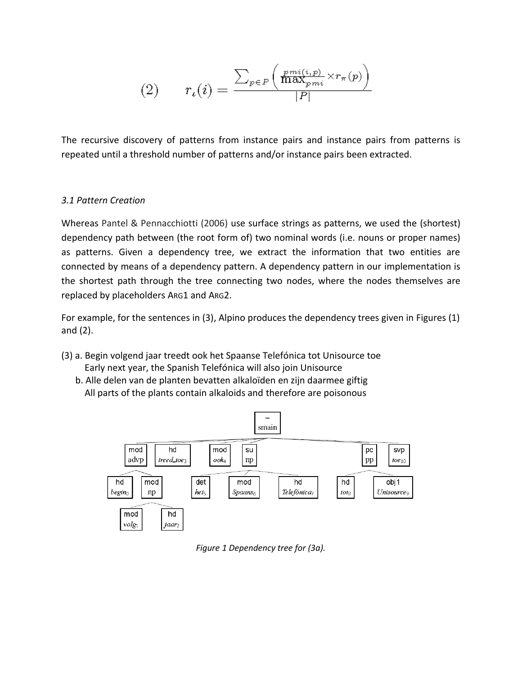$$
(2) \qquad r_{\iota}(i) = \frac{\sum_{p \in P} \left( \frac{p m i(i, p)}{\max_{p m i}} \times r_{\pi}(p) \right)}{|P|}
$$

The recursive discovery of patterns from instance pairs and instance pairs from patterns is repeated until a threshold number of patterns and/or instance pairs been extracted.

### *3.1 Pattern Creation*

Whereas Pantel & Pennacchiotti (2006) use surface strings as patterns, we used the (shortest) dependency path between (the root form of) two nominal words (i.e. nouns or proper names) as patterns. Given a dependency tree, we extract the information that two entities are connected by means of a dependency pattern. A dependency pattern in our implementation is the shortest path through the tree connecting two nodes, where the nodes themselves are replaced by placeholders ARG1 and ARG2.

For example, for the sentences in (3), Alpino produces the dependency trees given in Figures (1) and (2).

- (3) a. Begin volgend jaar treedt ook het Spaanse Telefónica tot Unisource toe Early next year, the Spanish Telefónica will also join Unisource
	- b. Alle delen van de planten bevatten alkaloïden en zijn daarmee giftig All parts of the plants contain alkaloids and therefore are poisonous



*Figure 1 Dependency tree for (3a).*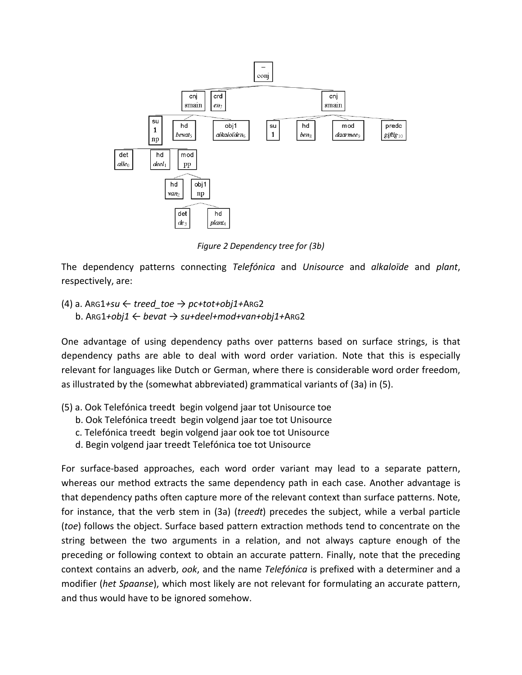

*Figure 2 Dependency tree for (3b)*

The dependency patterns connecting *Telefónica* and *Unisource* and *alkaloïde* and *plant*, respectively, are:

(4) a. ARG1*+su* ← *treed\_toe* → *pc+tot+obj1+*ARG2 b. ARG1*+obj1* ← *bevat* → *su+deel+mod+van+obj1+*ARG2

One advantage of using dependency paths over patterns based on surface strings, is that dependency paths are able to deal with word order variation. Note that this is especially relevant for languages like Dutch or German, where there is considerable word order freedom, as illustrated by the (somewhat abbreviated) grammatical variants of (3a) in (5).

- (5) a. Ook Telefónica treedt begin volgend jaar tot Unisource toe
	- b. Ook Telefónica treedt begin volgend jaar toe tot Unisource
	- c. Telefónica treedt begin volgend jaar ook toe tot Unisource
	- d. Begin volgend jaar treedt Telefónica toe tot Unisource

For surface-based approaches, each word order variant may lead to a separate pattern, whereas our method extracts the same dependency path in each case. Another advantage is that dependency paths often capture more of the relevant context than surface patterns. Note, for instance, that the verb stem in (3a) (*treedt*) precedes the subject, while a verbal particle (*toe*) follows the object. Surface based pattern extraction methods tend to concentrate on the string between the two arguments in a relation, and not always capture enough of the preceding or following context to obtain an accurate pattern. Finally, note that the preceding context contains an adverb, *ook*, and the name *Telefónica* is prefixed with a determiner and a modifier (*het Spaanse*), which most likely are not relevant for formulating an accurate pattern, and thus would have to be ignored somehow.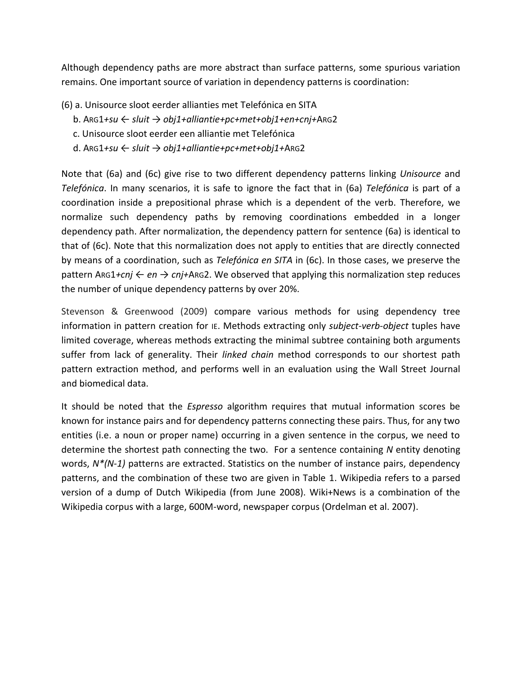Although dependency paths are more abstract than surface patterns, some spurious variation remains. One important source of variation in dependency patterns is coordination:

- (6) a. Unisource sloot eerder allianties met Telefónica en SITA
	- b. ARG1*+su* ← *sluit* → *obj1+alliantie+pc+met+obj1+en+cnj+*ARG2
	- c. Unisource sloot eerder een alliantie met Telefónica
	- d. ARG1*+su* ← *sluit* → *obj1+alliantie+pc+met+obj1+*ARG2

Note that (6a) and (6c) give rise to two different dependency patterns linking *Unisource* and *Telefónica*. In many scenarios, it is safe to ignore the fact that in (6a) *Telefónica* is part of a coordination inside a prepositional phrase which is a dependent of the verb. Therefore, we normalize such dependency paths by removing coordinations embedded in a longer dependency path. After normalization, the dependency pattern for sentence (6a) is identical to that of (6c). Note that this normalization does not apply to entities that are directly connected by means of a coordination, such as *Telefónica en SITA* in (6c). In those cases, we preserve the pattern ARG1*+cnj* ← *en* → *cnj+*ARG2. We observed that applying this normalization step reduces the number of unique dependency patterns by over 20%.

Stevenson & Greenwood (2009) compare various methods for using dependency tree information in pattern creation for IE. Methods extracting only *subject-verb-object* tuples have limited coverage, whereas methods extracting the minimal subtree containing both arguments suffer from lack of generality. Their *linked chain* method corresponds to our shortest path pattern extraction method, and performs well in an evaluation using the Wall Street Journal and biomedical data.

It should be noted that the *Espresso* algorithm requires that mutual information scores be known for instance pairs and for dependency patterns connecting these pairs. Thus, for any two entities (i.e. a noun or proper name) occurring in a given sentence in the corpus, we need to determine the shortest path connecting the two. For a sentence containing *N* entity denoting words, *N\*(N-1)* patterns are extracted. Statistics on the number of instance pairs, dependency patterns, and the combination of these two are given in Table 1. Wikipedia refers to a parsed version of a dump of Dutch Wikipedia (from June 2008). Wiki+News is a combination of the Wikipedia corpus with a large, 600M-word, newspaper corpus (Ordelman et al. 2007).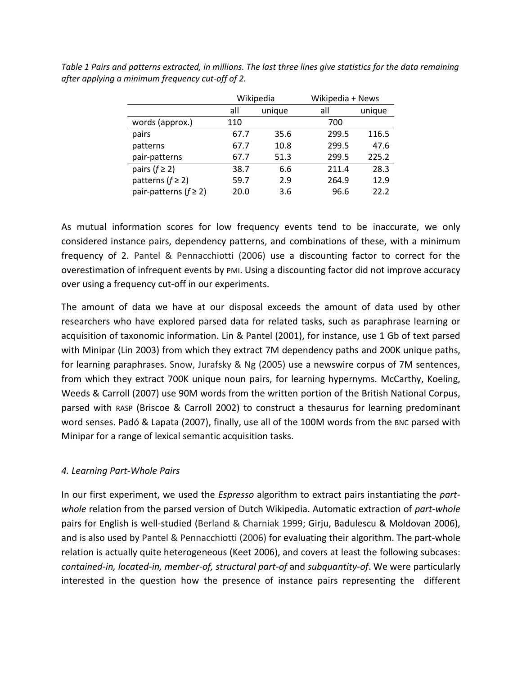|                              |               | Wikipedia | Wikipedia + News |        |  |
|------------------------------|---------------|-----------|------------------|--------|--|
|                              | all<br>unique |           | all              | unique |  |
| words (approx.)              | 110           |           | 700              |        |  |
| pairs                        | 67.7          | 35.6      | 299.5            | 116.5  |  |
| patterns                     | 67.7          | 10.8      | 299.5            | 47.6   |  |
| pair-patterns                | 67.7          | 51.3      | 299.5            | 225.2  |  |
| pairs $(f \geq 2)$           | 38.7          | 6.6       | 211.4            | 28.3   |  |
| patterns ( $f \geq 2$ )      | 59.7          | 2.9       | 264.9            | 12.9   |  |
| pair-patterns ( $f \geq 2$ ) | 20.0          | 3.6       | 96.6             | 22.2   |  |

*Table 1 Pairs and patterns extracted, in millions. The last three lines give statistics for the data remaining after applying a minimum frequency cut-off of 2.*

As mutual information scores for low frequency events tend to be inaccurate, we only considered instance pairs, dependency patterns, and combinations of these, with a minimum frequency of 2. Pantel & Pennacchiotti (2006) use a discounting factor to correct for the overestimation of infrequent events by PMI. Using a discounting factor did not improve accuracy over using a frequency cut-off in our experiments.

The amount of data we have at our disposal exceeds the amount of data used by other researchers who have explored parsed data for related tasks, such as paraphrase learning or acquisition of taxonomic information. Lin & Pantel (2001), for instance, use 1 Gb of text parsed with Minipar (Lin 2003) from which they extract 7M dependency paths and 200K unique paths, for learning paraphrases. Snow, Jurafsky & Ng (2005) use a newswire corpus of 7M sentences, from which they extract 700K unique noun pairs, for learning hypernyms. McCarthy, Koeling, Weeds & Carroll (2007) use 90M words from the written portion of the British National Corpus, parsed with RASP (Briscoe & Carroll 2002) to construct a thesaurus for learning predominant word senses. Padó & Lapata (2007), finally, use all of the 100M words from the BNC parsed with Minipar for a range of lexical semantic acquisition tasks.

# *4. Learning Part-Whole Pairs*

In our first experiment, we used the *Espresso* algorithm to extract pairs instantiating the *partwhole* relation from the parsed version of Dutch Wikipedia. Automatic extraction of *part-whole* pairs for English is well-studied (Berland & Charniak 1999; Girju, Badulescu & Moldovan 2006), and is also used by Pantel & Pennacchiotti (2006) for evaluating their algorithm. The part-whole relation is actually quite heterogeneous (Keet 2006), and covers at least the following subcases: *contained-in, located-in, member-of, structural part-of* and *subquantity-of*. We were particularly interested in the question how the presence of instance pairs representing the different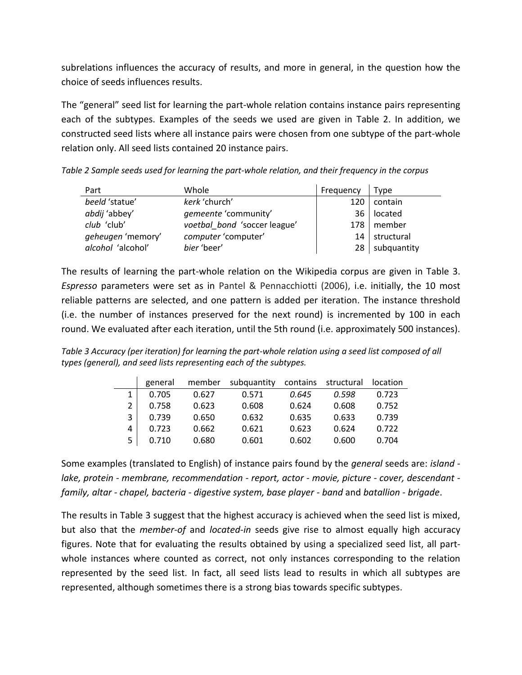subrelations influences the accuracy of results, and more in general, in the question how the choice of seeds influences results.

The "general" seed list for learning the part-whole relation contains instance pairs representing each of the subtypes. Examples of the seeds we used are given in Table 2. In addition, we constructed seed lists where all instance pairs were chosen from one subtype of the part-whole relation only. All seed lists contained 20 instance pairs.

*Table 2 Sample seeds used for learning the part-whole relation, and their frequency in the corpus*

| Part                     | Whole                        | Frequency | Type           |
|--------------------------|------------------------------|-----------|----------------|
| beeld 'statue'           | kerk 'church'                | 120       | contain        |
| abdij 'abbey'            | gemeente 'community'         | 36        | located        |
| club 'club'              | voetbal bond 'soccer league' |           | $178$ member   |
| geheugen 'memory'        | computer 'computer'          | 14        | structural     |
| <i>alcohol</i> 'alcohol' | bier 'beer'                  |           | 28 subquantity |

The results of learning the part-whole relation on the Wikipedia corpus are given in Table 3. *Espresso* parameters were set as in Pantel & Pennacchiotti (2006), i.e. initially, the 10 most reliable patterns are selected, and one pattern is added per iteration. The instance threshold (i.e. the number of instances preserved for the next round) is incremented by 100 in each round. We evaluated after each iteration, until the 5th round (i.e. approximately 500 instances).

*Table 3 Accuracy (per iteration) for learning the part-whole relation using a seed list composed of all types (general), and seed lists representing each of the subtypes.*

|   | general | member | subquantity | contains | structural | location |
|---|---------|--------|-------------|----------|------------|----------|
|   | 0.705   | 0.627  | 0.571       | 0.645    | 0.598      | 0.723    |
| 2 | 0.758   | 0.623  | 0.608       | 0.624    | 0.608      | 0.752    |
| 3 | 0.739   | 0.650  | 0.632       | 0.635    | 0.633      | 0.739    |
| 4 | 0.723   | 0.662  | 0.621       | 0.623    | 0.624      | 0.722    |
| 5 | 0.710   | 0.680  | 0.601       | 0.602    | 0.600      | 0.704    |

Some examples (translated to English) of instance pairs found by the *general* seeds are: *island lake, protein - membrane, recommendation - report, actor - movie, picture - cover, descendant family, altar - chapel, bacteria - digestive system, base player - band* and *batallion - brigade*.

The results in Table 3 suggest that the highest accuracy is achieved when the seed list is mixed, but also that the *member-of* and *located-in* seeds give rise to almost equally high accuracy figures. Note that for evaluating the results obtained by using a specialized seed list, all partwhole instances where counted as correct, not only instances corresponding to the relation represented by the seed list. In fact, all seed lists lead to results in which all subtypes are represented, although sometimes there is a strong bias towards specific subtypes.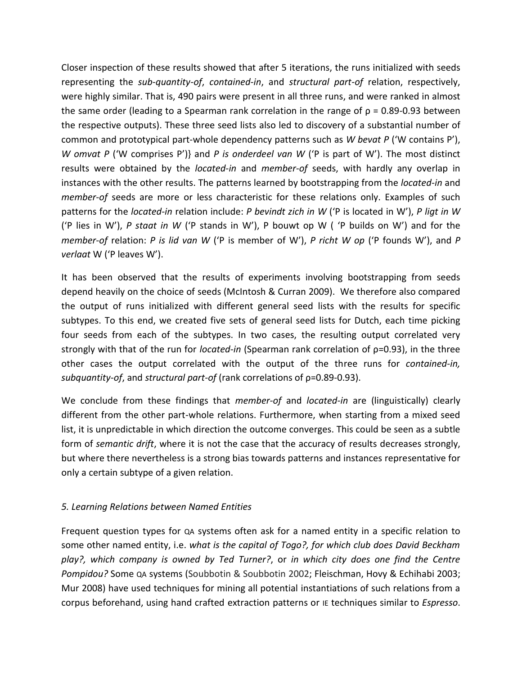Closer inspection of these results showed that after 5 iterations, the runs initialized with seeds representing the *sub-quantity-of*, *contained-in*, and *structural part-of* relation, respectively, were highly similar. That is, 490 pairs were present in all three runs, and were ranked in almost the same order (leading to a Spearman rank correlation in the range of  $\rho$  = 0.89-0.93 between the respective outputs). These three seed lists also led to discovery of a substantial number of common and prototypical part-whole dependency patterns such as *W bevat P* ('W contains P'), *W omvat P* ('W comprises P')} and *P is onderdeel van W* ('P is part of W'). The most distinct results were obtained by the *located-in* and *member-of* seeds, with hardly any overlap in instances with the other results. The patterns learned by bootstrapping from the *located-in* and *member-of* seeds are more or less characteristic for these relations only. Examples of such patterns for the *located-in* relation include: *P bevindt zich in W* ('P is located in W'), *P ligt in W* ('P lies in W'), *P staat in W* ('P stands in W'), P bouwt op W ( 'P builds on W') and for the *member-of* relation: *P is lid van W* ('P is member of W'), *P richt W op* ('P founds W'), and *P verlaat* W ('P leaves W').

It has been observed that the results of experiments involving bootstrapping from seeds depend heavily on the choice of seeds (McIntosh & Curran 2009). We therefore also compared the output of runs initialized with different general seed lists with the results for specific subtypes. To this end, we created five sets of general seed lists for Dutch, each time picking four seeds from each of the subtypes. In two cases, the resulting output correlated very strongly with that of the run for *located-in* (Spearman rank correlation of ρ=0.93), in the three other cases the output correlated with the output of the three runs for *contained-in, subquantity-of*, and *structural part-of* (rank correlations of ρ=0.89-0.93).

We conclude from these findings that *member-of* and *located-in* are (linguistically) clearly different from the other part-whole relations. Furthermore, when starting from a mixed seed list, it is unpredictable in which direction the outcome converges. This could be seen as a subtle form of *semantic drift*, where it is not the case that the accuracy of results decreases strongly, but where there nevertheless is a strong bias towards patterns and instances representative for only a certain subtype of a given relation.

# *5. Learning Relations between Named Entities*

Frequent question types for QA systems often ask for a named entity in a specific relation to some other named entity, i.e. *what is the capital of Togo?, for which club does David Beckham play?, which company is owned by Ted Turner?*, or *in which city does one find the Centre Pompidou?* Some QA systems (Soubbotin & Soubbotin 2002; Fleischman, Hovy & Echihabi 2003; Mur 2008) have used techniques for mining all potential instantiations of such relations from a corpus beforehand, using hand crafted extraction patterns or IE techniques similar to *Espresso*.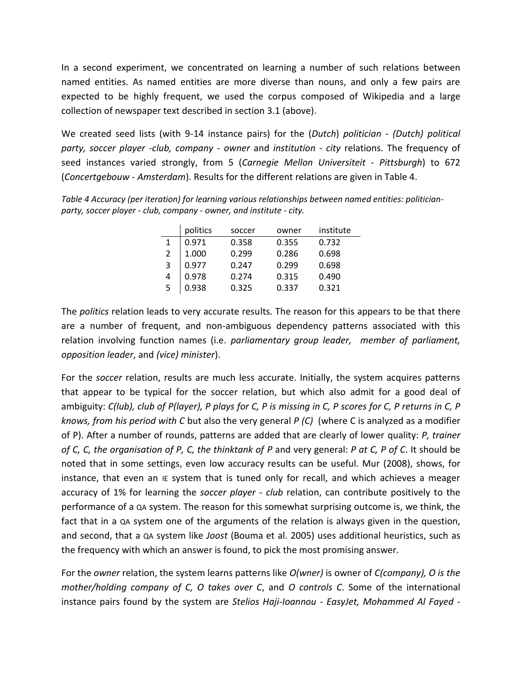In a second experiment, we concentrated on learning a number of such relations between named entities. As named entities are more diverse than nouns, and only a few pairs are expected to be highly frequent, we used the corpus composed of Wikipedia and a large collection of newspaper text described in section 3.1 (above).

We created seed lists (with 9-14 instance pairs) for the (*Dutch*) *politician - (Dutch) political party, soccer player -club, company - owner* and *institution - city* relations. The frequency of seed instances varied strongly, from 5 (*Carnegie Mellon Universiteit - Pittsburgh*) to 672 (*Concertgebouw - Amsterdam*). Results for the different relations are given in Table 4.

*Table 4 Accuracy (per iteration) for learning various relationships between named entities: politicianparty, soccer player - club, company - owner, and institute - city.*

|   | politics | soccer | owner | institute |
|---|----------|--------|-------|-----------|
|   | 0.971    | 0.358  | 0.355 | 0.732     |
|   | 1.000    | 0.299  | 0.286 | 0.698     |
| 3 | 0.977    | 0.247  | 0.299 | 0.698     |
| 4 | 0.978    | 0.274  | 0.315 | 0.490     |
| 5 | 0.938    | 0.325  | 0.337 | 0.321     |

The *politics* relation leads to very accurate results. The reason for this appears to be that there are a number of frequent, and non-ambiguous dependency patterns associated with this relation involving function names (i.e. *parliamentary group leader, member of parliament, opposition leader*, and *(vice) minister*).

For the *soccer* relation, results are much less accurate. Initially, the system acquires patterns that appear to be typical for the soccer relation, but which also admit for a good deal of ambiguity: *C(lub), club of P(layer), P plays for C, P is missing in C, P scores for C, P returns in C, P knows, from his period with C* but also the very general *P (C)* (where C is analyzed as a modifier of P). After a number of rounds, patterns are added that are clearly of lower quality: *P, trainer of C, C, the organisation of P, C, the thinktank of P* and very general: *P at C, P of C*. It should be noted that in some settings, even low accuracy results can be useful. Mur (2008), shows, for instance, that even an IE system that is tuned only for recall, and which achieves a meager accuracy of 1% for learning the *soccer player - club* relation, can contribute positively to the performance of a QA system. The reason for this somewhat surprising outcome is, we think, the fact that in a QA system one of the arguments of the relation is always given in the question, and second, that a QA system like *Joost* (Bouma et al. 2005) uses additional heuristics, such as the frequency with which an answer is found, to pick the most promising answer.

For the *owner* relation, the system learns patterns like *O(wner)* is owner of *C(company), O is the mother/holding company of C, O takes over C*, and *O controls C*. Some of the international instance pairs found by the system are *Stelios Haji-Ioannou - EasyJet, Mohammed Al Fayed -*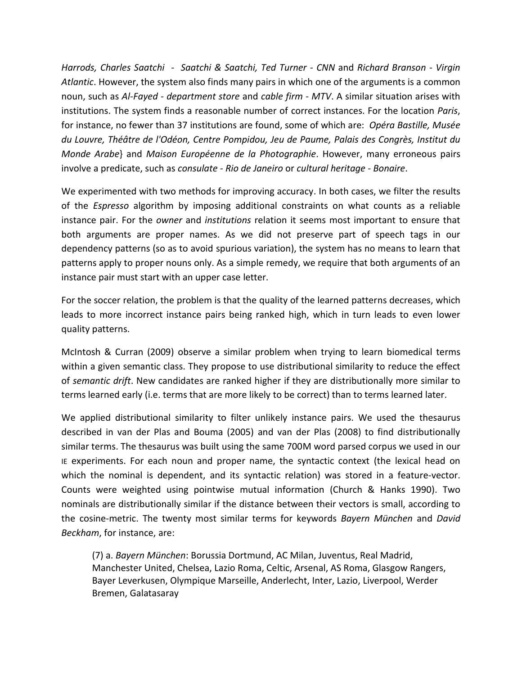*Harrods, Charles Saatchi - Saatchi & Saatchi, Ted Turner - CNN* and *Richard Branson - Virgin Atlantic*. However, the system also finds many pairs in which one of the arguments is a common noun, such as *Al-Fayed - department store* and *cable firm - MTV*. A similar situation arises with institutions. The system finds a reasonable number of correct instances. For the location *Paris*, for instance, no fewer than 37 institutions are found, some of which are: *Opéra Bastille, Musée du Louvre, Théâtre de l'Odéon, Centre Pompidou, Jeu de Paume, Palais des Congrès, Institut du Monde Arabe*} and *Maison Européenne de la Photographie*. However, many erroneous pairs involve a predicate, such as *consulate - Rio de Janeiro* or *cultural heritage - Bonaire*.

We experimented with two methods for improving accuracy. In both cases, we filter the results of the *Espresso* algorithm by imposing additional constraints on what counts as a reliable instance pair. For the *owner* and *institutions* relation it seems most important to ensure that both arguments are proper names. As we did not preserve part of speech tags in our dependency patterns (so as to avoid spurious variation), the system has no means to learn that patterns apply to proper nouns only. As a simple remedy, we require that both arguments of an instance pair must start with an upper case letter.

For the soccer relation, the problem is that the quality of the learned patterns decreases, which leads to more incorrect instance pairs being ranked high, which in turn leads to even lower quality patterns.

McIntosh & Curran (2009) observe a similar problem when trying to learn biomedical terms within a given semantic class. They propose to use distributional similarity to reduce the effect of *semantic drift*. New candidates are ranked higher if they are distributionally more similar to terms learned early (i.e. terms that are more likely to be correct) than to terms learned later.

We applied distributional similarity to filter unlikely instance pairs. We used the thesaurus described in van der Plas and Bouma (2005) and van der Plas (2008) to find distributionally similar terms. The thesaurus was built using the same 700M word parsed corpus we used in our IE experiments. For each noun and proper name, the syntactic context (the lexical head on which the nominal is dependent, and its syntactic relation) was stored in a feature-vector. Counts were weighted using pointwise mutual information (Church & Hanks 1990). Two nominals are distributionally similar if the distance between their vectors is small, according to the cosine-metric. The twenty most similar terms for keywords *Bayern München* and *David Beckham*, for instance, are:

(7) a. *Bayern München*: Borussia Dortmund, AC Milan, Juventus, Real Madrid, Manchester United, Chelsea, Lazio Roma, Celtic, Arsenal, AS Roma, Glasgow Rangers, Bayer Leverkusen, Olympique Marseille, Anderlecht, Inter, Lazio, Liverpool, Werder Bremen, Galatasaray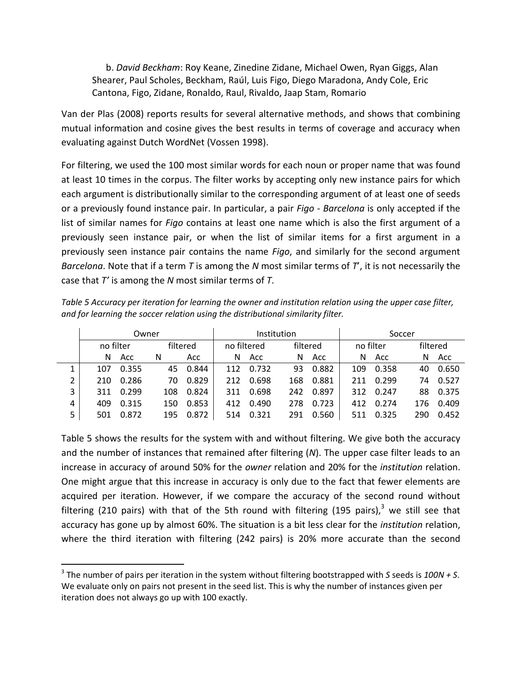b. *David Beckham*: Roy Keane, Zinedine Zidane, Michael Owen, Ryan Giggs, Alan Shearer, Paul Scholes, Beckham, Raúl, Luis Figo, Diego Maradona, Andy Cole, Eric Cantona, Figo, Zidane, Ronaldo, Raul, Rivaldo, Jaap Stam, Romario

Van der Plas (2008) reports results for several alternative methods, and shows that combining mutual information and cosine gives the best results in terms of coverage and accuracy when evaluating against Dutch WordNet (Vossen 1998).

For filtering, we used the 100 most similar words for each noun or proper name that was found at least 10 times in the corpus. The filter works by accepting only new instance pairs for which each argument is distributionally similar to the corresponding argument of at least one of seeds or a previously found instance pair. In particular, a pair *Figo - Barcelona* is only accepted if the list of similar names for *Figo* contains at least one name which is also the first argument of a previously seen instance pair, or when the list of similar items for a first argument in a previously seen instance pair contains the name *Figo*, and similarly for the second argument *Barcelona*. Note that if a term *T* is among the *N* most similar terms of *T*', it is not necessarily the case that *T'* is among the *N* most similar terms of *T*.

| Table 5 Accuracy per iteration for learning the owner and institution relation using the upper case filter, |  |
|-------------------------------------------------------------------------------------------------------------|--|
| and for learning the soccer relation using the distributional similarity filter.                            |  |
|                                                                                                             |  |

|   | Owner     |       |          |       | Institution |       |     | Soccer   |     |           |     |          |  |
|---|-----------|-------|----------|-------|-------------|-------|-----|----------|-----|-----------|-----|----------|--|
|   | no filter |       | filtered |       | no filtered |       |     | filtered |     | no filter |     | filtered |  |
|   | N         | Acc   | N        | Acc   | N           | Acc   | N   | Acc      | N   | Acc       | N   | Acc      |  |
| 1 | 107       | 0.355 | 45       | 0.844 | 112         | 0.732 | 93  | 0.882    | 109 | 0.358     | 40  | 0.650    |  |
| 2 | 210       | 0.286 | 70       | 0.829 | 212         | 0.698 | 168 | 0.881    | 211 | 0.299     | 74  | 0.527    |  |
| 3 | 311       | 0.299 | 108      | 0.824 | 311         | 0.698 | 242 | 0.897    | 312 | 0.247     | 88  | 0.375    |  |
| 4 | 409       | 0.315 | 150      | 0.853 | 412         | 0.490 | 278 | 0.723    | 412 | 0.274     | 176 | 0.409    |  |
| 5 | 501       | 0.872 | 195      | 0.872 | 514         | 0.321 | 291 | 0.560    | 511 | 0.325     | 290 | 0.452    |  |

Table 5 shows the results for the system with and without filtering. We give both the accuracy and the number of instances that remained after filtering (*N*). The upper case filter leads to an increase in accuracy of around 50% for the *owner* relation and 20% for the *institution* relation. One might argue that this increase in accuracy is only due to the fact that fewer elements are acquired per iteration. However, if we compare the accuracy of the second round without filtering (210 pairs) with that of the 5th round with filtering (195 pairs).<sup>3</sup> we still see that accuracy has gone up by almost 60%. The situation is a bit less clear for the *institution* relation, where the third iteration with filtering (242 pairs) is 20% more accurate than the second

 $\overline{\phantom{a}}$ 

<sup>3</sup> The number of pairs per iteration in the system without filtering bootstrapped with *S* seeds is *100N + S*. We evaluate only on pairs not present in the seed list. This is why the number of instances given per iteration does not always go up with 100 exactly.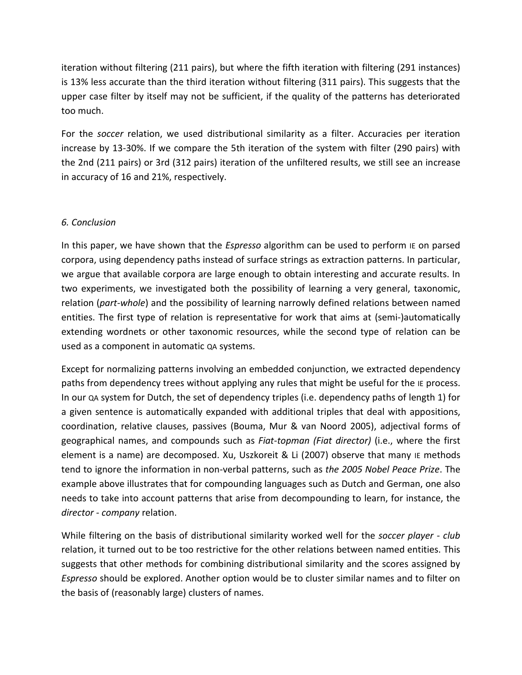iteration without filtering (211 pairs), but where the fifth iteration with filtering (291 instances) is 13% less accurate than the third iteration without filtering (311 pairs). This suggests that the upper case filter by itself may not be sufficient, if the quality of the patterns has deteriorated too much.

For the *soccer* relation, we used distributional similarity as a filter. Accuracies per iteration increase by 13-30%. If we compare the 5th iteration of the system with filter (290 pairs) with the 2nd (211 pairs) or 3rd (312 pairs) iteration of the unfiltered results, we still see an increase in accuracy of 16 and 21%, respectively.

# *6. Conclusion*

In this paper, we have shown that the *Espresso* algorithm can be used to perform IE on parsed corpora, using dependency paths instead of surface strings as extraction patterns. In particular, we argue that available corpora are large enough to obtain interesting and accurate results. In two experiments, we investigated both the possibility of learning a very general, taxonomic, relation (*part-whole*) and the possibility of learning narrowly defined relations between named entities. The first type of relation is representative for work that aims at (semi-)automatically extending wordnets or other taxonomic resources, while the second type of relation can be used as a component in automatic QA systems.

Except for normalizing patterns involving an embedded conjunction, we extracted dependency paths from dependency trees without applying any rules that might be useful for the IE process. In our QA system for Dutch, the set of dependency triples (i.e. dependency paths of length 1) for a given sentence is automatically expanded with additional triples that deal with appositions, coordination, relative clauses, passives (Bouma, Mur & van Noord 2005), adjectival forms of geographical names, and compounds such as *Fiat-topman (Fiat director)* (i.e., where the first element is a name) are decomposed. Xu, Uszkoreit & Li (2007) observe that many IE methods tend to ignore the information in non-verbal patterns, such as *the 2005 Nobel Peace Prize*. The example above illustrates that for compounding languages such as Dutch and German, one also needs to take into account patterns that arise from decompounding to learn, for instance, the *director - company* relation.

While filtering on the basis of distributional similarity worked well for the *soccer player - club* relation, it turned out to be too restrictive for the other relations between named entities. This suggests that other methods for combining distributional similarity and the scores assigned by *Espresso* should be explored. Another option would be to cluster similar names and to filter on the basis of (reasonably large) clusters of names.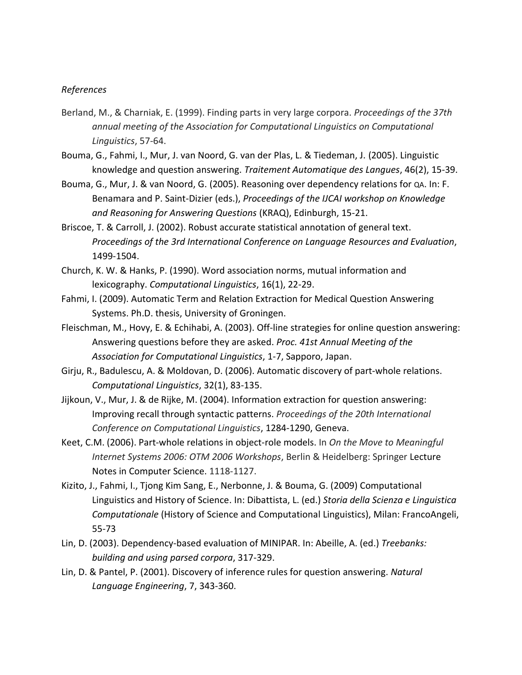#### *References*

- Berland, M., & Charniak, E. (1999). Finding parts in very large corpora. *Proceedings of the 37th annual meeting of the Association for Computational Linguistics on Computational Linguistics*, 57-64.
- Bouma, G., Fahmi, I., Mur, J. van Noord, G. van der Plas, L. & Tiedeman, J. (2005). Linguistic knowledge and question answering. *Traitement Automatique des Langues*, 46(2), 15-39.
- Bouma, G., Mur, J. & van Noord, G. (2005). Reasoning over dependency relations for QA. In: F. Benamara and P. Saint-Dizier (eds.), *Proceedings of the IJCAI workshop on Knowledge and Reasoning for Answering Questions* (KRAQ), Edinburgh, 15-21.
- Briscoe, T. & Carroll, J. (2002). Robust accurate statistical annotation of general text. *Proceedings of the 3rd International Conference on Language Resources and Evaluation*, 1499-1504.
- Church, K. W. & Hanks, P. (1990). Word association norms, mutual information and lexicography. *Computational Linguistics*, 16(1), 22-29.
- Fahmi, I. (2009). Automatic Term and Relation Extraction for Medical Question Answering Systems. Ph.D. thesis, University of Groningen.
- Fleischman, M., Hovy, E. & Echihabi, A. (2003). Off-line strategies for online question answering: Answering questions before they are asked. *Proc. 41st Annual Meeting of the Association for Computational Linguistics*, 1-7, Sapporo, Japan.
- Girju, R., Badulescu, A. & Moldovan, D. (2006). Automatic discovery of part-whole relations. *Computational Linguistics*, 32(1), 83-135.
- Jijkoun, V., Mur, J. & de Rijke, M. (2004). Information extraction for question answering: Improving recall through syntactic patterns. *Proceedings of the 20th International Conference on Computational Linguistics*, 1284-1290, Geneva.
- Keet, C.M. (2006). Part-whole relations in object-role models. In *On the Move to Meaningful Internet Systems 2006: OTM 2006 Workshops*, Berlin & Heidelberg: Springer Lecture Notes in Computer Science. 1118-1127.
- Kizito, J., Fahmi, I., Tjong Kim Sang, E., Nerbonne, J. & Bouma, G. (2009) Computational Linguistics and History of Science. In: Dibattista, L. (ed.) *Storia della Scienza e Linguistica Computationale* (History of Science and Computational Linguistics), Milan: FrancoAngeli, 55-73
- Lin, D. (2003). Dependency-based evaluation of MINIPAR. In: Abeille, A. (ed.) *Treebanks: building and using parsed corpora*, 317-329.
- Lin, D. & Pantel, P. (2001). Discovery of inference rules for question answering. *Natural Language Engineering*, 7, 343-360.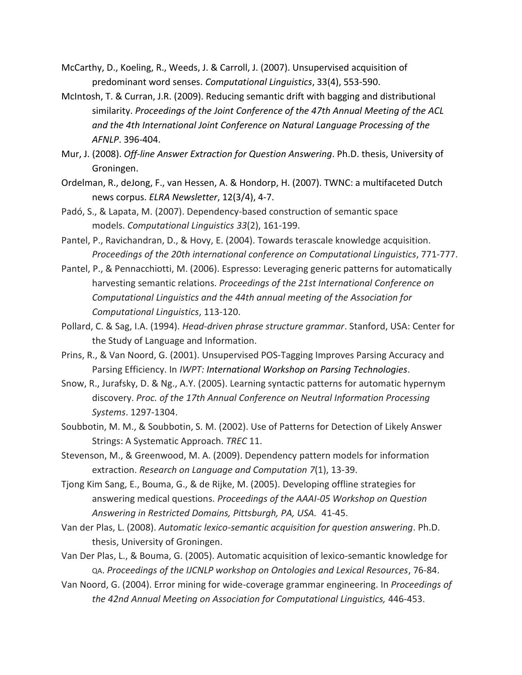- McCarthy, D., Koeling, R., Weeds, J. & Carroll, J. (2007). Unsupervised acquisition of predominant word senses. *Computational Linguistics*, 33(4), 553-590.
- McIntosh, T. & Curran, J.R. (2009). Reducing semantic drift with bagging and distributional similarity. *Proceedings of the Joint Conference of the 47th Annual Meeting of the ACL and the 4th International Joint Conference on Natural Language Processing of the AFNLP*. 396-404.
- Mur, J. (2008). *Off-line Answer Extraction for Question Answering*. Ph.D. thesis, University of Groningen.
- Ordelman, R., deJong, F., van Hessen, A. & Hondorp, H. (2007). TWNC: a multifaceted Dutch news corpus. *ELRA Newsletter*, 12(3/4), 4-7.
- Padó, S., & Lapata, M. (2007). Dependency-based construction of semantic space models. *Computational Linguistics 33*(2), 161-199.
- Pantel, P., Ravichandran, D., & Hovy, E. (2004). Towards terascale knowledge acquisition. *Proceedings of the 20th international conference on Computational Linguistics*, 771-777.
- Pantel, P., & Pennacchiotti, M. (2006). Espresso: Leveraging generic patterns for automatically harvesting semantic relations. *Proceedings of the 21st International Conference on Computational Linguistics and the 44th annual meeting of the Association for Computational Linguistics*, 113-120.
- Pollard, C. & Sag, I.A. (1994). *Head-driven phrase structure grammar*. Stanford, USA: Center for the Study of Language and Information.
- Prins, R., & Van Noord, G. (2001). Unsupervised POS-Tagging Improves Parsing Accuracy and Parsing Efficiency. In *IWPT: International Workshop on Parsing Technologies*.
- Snow, R., Jurafsky, D. & Ng., A.Y. (2005). Learning syntactic patterns for automatic hypernym discovery. *Proc. of the 17th Annual Conference on Neutral Information Processing Systems*. 1297-1304.
- Soubbotin, M. M., & Soubbotin, S. M. (2002). Use of Patterns for Detection of Likely Answer Strings: A Systematic Approach. *TREC* 11.
- Stevenson, M., & Greenwood, M. A. (2009). Dependency pattern models for information extraction. *Research on Language and Computation 7*(1), 13-39.
- Tjong Kim Sang, E., Bouma, G., & de Rijke, M. (2005). Developing offline strategies for answering medical questions. *Proceedings of the AAAI-05 Workshop on Question Answering in Restricted Domains, Pittsburgh, PA, USA.* 41-45.
- Van der Plas, L. (2008). *Automatic lexico-semantic acquisition for question answering*. Ph.D. thesis, University of Groningen.
- Van Der Plas, L., & Bouma, G. (2005). Automatic acquisition of lexico-semantic knowledge for QA. *Proceedings of the IJCNLP workshop on Ontologies and Lexical Resources*, 76-84.
- Van Noord, G. (2004). Error mining for wide-coverage grammar engineering. In *Proceedings of the 42nd Annual Meeting on Association for Computational Linguistics,* 446-453.